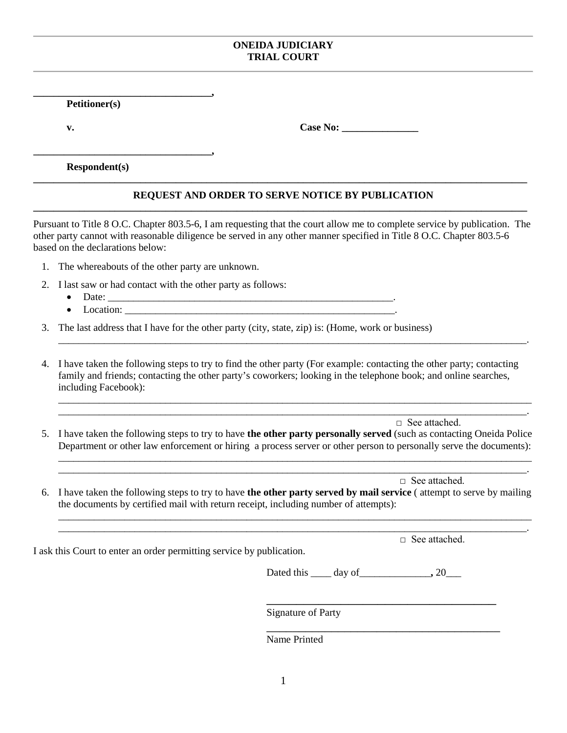## **ONEIDA JUDICIARY TRIAL COURT**

**Petitioner(s)**

**\_\_\_\_\_\_\_\_\_\_\_\_\_\_\_\_\_\_\_\_\_\_\_\_\_\_\_\_\_\_\_\_\_\_\_,** 

**\_\_\_\_\_\_\_\_\_\_\_\_\_\_\_\_\_\_\_\_\_\_\_\_\_\_\_\_\_\_\_\_\_\_\_,**

**v. Case No:** 

**Respondent(s)**

## **REQUEST AND ORDER TO SERVE NOTICE BY PUBLICATION \_\_\_\_\_\_\_\_\_\_\_\_\_\_\_\_\_\_\_\_\_\_\_\_\_\_\_\_\_\_\_\_\_\_\_\_\_\_\_\_\_\_\_\_\_\_\_\_\_\_\_\_\_\_\_\_\_\_\_\_\_\_\_\_\_\_\_\_\_\_\_\_\_\_\_\_\_\_\_\_\_\_\_\_\_\_\_\_\_\_\_\_\_\_\_\_\_**

**\_\_\_\_\_\_\_\_\_\_\_\_\_\_\_\_\_\_\_\_\_\_\_\_\_\_\_\_\_\_\_\_\_\_\_\_\_\_\_\_\_\_\_\_\_\_\_\_\_\_\_\_\_\_\_\_\_\_\_\_\_\_\_\_\_\_\_\_\_\_\_\_\_\_\_\_\_\_\_\_\_\_\_\_\_\_\_\_\_\_\_\_\_\_\_\_\_**

Pursuant to Title 8 O.C. Chapter 803.5-6, I am requesting that the court allow me to complete service by publication. The other party cannot with reasonable diligence be served in any other manner specified in Title 8 O.C. Chapter 803.5-6 based on the declarations below:

- 1. The whereabouts of the other party are unknown.
- 2. I last saw or had contact with the other party as follows:
	- Date: \_\_\_\_\_\_\_\_\_\_\_\_\_\_\_\_\_\_\_\_\_\_\_\_\_\_\_\_\_\_\_\_\_\_\_\_\_\_\_\_\_\_\_\_\_\_\_\_\_\_\_\_\_\_\_\_.
	- $\bullet$  Location:  $\Box$
- 3. The last address that I have for the other party (city, state, zip) is: (Home, work or business)
- 4. I have taken the following steps to try to find the other party (For example: contacting the other party; contacting family and friends; contacting the other party's coworkers; looking in the telephone book; and online searches, including Facebook):

\_\_\_\_\_\_\_\_\_\_\_\_\_\_\_\_\_\_\_\_\_\_\_\_\_\_\_\_\_\_\_\_\_\_\_\_\_\_\_\_\_\_\_\_\_\_\_\_\_\_\_\_\_\_\_\_\_\_\_\_\_\_\_\_\_\_\_\_\_\_\_\_\_\_\_\_\_\_\_\_\_\_\_\_\_\_\_\_\_\_\_\_.

\_\_\_\_\_\_\_\_\_\_\_\_\_\_\_\_\_\_\_\_\_\_\_\_\_\_\_\_\_\_\_\_\_\_\_\_\_\_\_\_\_\_\_\_\_\_\_\_\_\_\_\_\_\_\_\_\_\_\_\_\_\_\_\_\_\_\_\_\_\_\_\_\_\_\_\_\_\_\_\_\_\_\_\_\_\_\_\_\_\_\_\_\_ \_\_\_\_\_\_\_\_\_\_\_\_\_\_\_\_\_\_\_\_\_\_\_\_\_\_\_\_\_\_\_\_\_\_\_\_\_\_\_\_\_\_\_\_\_\_\_\_\_\_\_\_\_\_\_\_\_\_\_\_\_\_\_\_\_\_\_\_\_\_\_\_\_\_\_\_\_\_\_\_\_\_\_\_\_\_\_\_\_\_\_\_.

 $\Box$  See attached.

5. I have taken the following steps to try to have **the other party personally served** (such as contacting Oneida Police Department or other law enforcement or hiring a process server or other person to personally serve the documents):

\_\_\_\_\_\_\_\_\_\_\_\_\_\_\_\_\_\_\_\_\_\_\_\_\_\_\_\_\_\_\_\_\_\_\_\_\_\_\_\_\_\_\_\_\_\_\_\_\_\_\_\_\_\_\_\_\_\_\_\_\_\_\_\_\_\_\_\_\_\_\_\_\_\_\_\_\_\_\_\_\_\_\_\_\_\_\_\_\_\_\_\_\_ \_\_\_\_\_\_\_\_\_\_\_\_\_\_\_\_\_\_\_\_\_\_\_\_\_\_\_\_\_\_\_\_\_\_\_\_\_\_\_\_\_\_\_\_\_\_\_\_\_\_\_\_\_\_\_\_\_\_\_\_\_\_\_\_\_\_\_\_\_\_\_\_\_\_\_\_\_\_\_\_\_\_\_\_\_\_\_\_\_\_\_\_.

\_\_\_\_\_\_\_\_\_\_\_\_\_\_\_\_\_\_\_\_\_\_\_\_\_\_\_\_\_\_\_\_\_\_\_\_\_\_\_\_\_\_\_\_\_\_\_\_\_\_\_\_\_\_\_\_\_\_\_\_\_\_\_\_\_\_\_\_\_\_\_\_\_\_\_\_\_\_\_\_\_\_\_\_\_\_\_\_\_\_\_\_\_ \_\_\_\_\_\_\_\_\_\_\_\_\_\_\_\_\_\_\_\_\_\_\_\_\_\_\_\_\_\_\_\_\_\_\_\_\_\_\_\_\_\_\_\_\_\_\_\_\_\_\_\_\_\_\_\_\_\_\_\_\_\_\_\_\_\_\_\_\_\_\_\_\_\_\_\_\_\_\_\_\_\_\_\_\_\_\_\_\_\_\_\_.

□ See attached.

6. I have taken the following steps to try to have **the other party served by mail service** ( attempt to serve by mailing the documents by certified mail with return receipt, including number of attempts):

□ See attached.

I ask this Court to enter an order permitting service by publication.

Dated this day of 20

\_\_\_\_\_\_\_\_\_\_\_\_\_\_\_\_\_\_\_\_\_\_\_\_\_\_\_\_\_\_\_

\_\_\_\_\_\_\_\_\_\_\_\_\_\_\_\_\_\_\_\_\_\_\_\_\_\_\_\_\_\_\_\_\_\_\_\_

Signature of Party

Name Printed